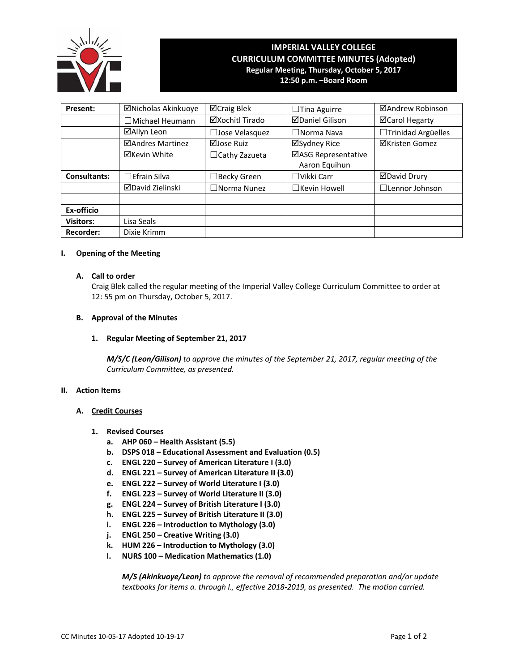

# **IMPERIAL VALLEY COLLEGE CURRICULUM COMMITTEE MINUTES (Adopted) Regular Meeting, Thursday, October 5, 2017 12:50 p.m. –Board Room**

| Present:            | ⊠Nicholas Akinkuoye     | ⊠Craig Blek           | $\Box$ Tina Aguirre                  | ⊠Andrew Robinson      |
|---------------------|-------------------------|-----------------------|--------------------------------------|-----------------------|
|                     | $\Box$ Michael Heumann  | ⊠Xochitl Tirado       | <b>ØDaniel Gilison</b>               | <b>ØCarol Hegarty</b> |
|                     | ⊠Allyn Leon             | $\Box$ Jose Velasquez | $\Box$ Norma Nava                    | □Trinidad Argüelles   |
|                     | ⊠Andres Martinez        | ⊠Jose Ruiz            | ⊠Sydney Rice                         | <b>⊠Kristen Gomez</b> |
|                     | <b>⊠Kevin White</b>     | $\Box$ Cathy Zazueta  | ⊠ASG Representative<br>Aaron Equihun |                       |
| <b>Consultants:</b> | $\Box$ Efrain Silva     | $\Box$ Becky Green    | $\Box$ Vikki Carr                    | <b>ØDavid Drury</b>   |
|                     | <b>ØDavid Zielinski</b> | $\Box$ Norma Nunez    | $\Box$ Kevin Howell                  | $\Box$ Lennor Johnson |
|                     |                         |                       |                                      |                       |
| Ex-officio          |                         |                       |                                      |                       |
| <b>Visitors:</b>    | Lisa Seals              |                       |                                      |                       |
| <b>Recorder:</b>    | Dixie Krimm             |                       |                                      |                       |

#### **I. Opening of the Meeting**

# **A. Call to order**

Craig Blek called the regular meeting of the Imperial Valley College Curriculum Committee to order at 12: 55 pm on Thursday, October 5, 2017.

#### **B. Approval of the Minutes**

### **1. Regular Meeting of September 21, 2017**

*M/S/C (Leon/Gilison) to approve the minutes of the September 21, 2017, regular meeting of the Curriculum Committee, as presented.*

#### **II. Action Items**

#### **A. Credit Courses**

- **1. Revised Courses**
	- **a. AHP 060 Health Assistant (5.5)**
	- **b. DSPS 018 Educational Assessment and Evaluation (0.5)**
	- **c. ENGL 220 Survey of American Literature I (3.0)**
	- **d. ENGL 221 Survey of American Literature II (3.0)**
	- **e. ENGL 222 Survey of World Literature I (3.0)**
	- **f. ENGL 223 Survey of World Literature II (3.0)**
	- **g. ENGL 224 Survey of British Literature I (3.0)**
	- **h. ENGL 225 Survey of British Literature II (3.0)**
	- **i. ENGL 226 Introduction to Mythology (3.0)**
	- **j. ENGL 250 Creative Writing (3.0)**
	- **k. HUM 226 Introduction to Mythology (3.0)**
	- **l. NURS 100 Medication Mathematics (1.0)**

*M/S (Akinkuoye/Leon) to approve the removal of recommended preparation and/or update textbooks for items a. through l., effective 2018‐2019, as presented. The motion carried.*